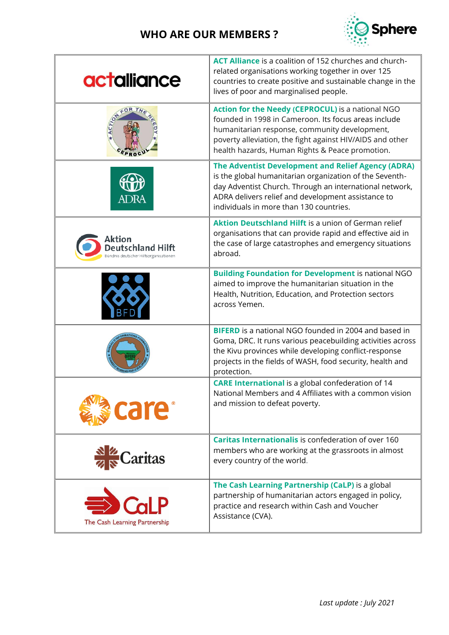

| actalliance                                                          | ACT Alliance is a coalition of 152 churches and church-<br>related organisations working together in over 125<br>countries to create positive and sustainable change in the<br>lives of poor and marginalised people.                                                      |
|----------------------------------------------------------------------|----------------------------------------------------------------------------------------------------------------------------------------------------------------------------------------------------------------------------------------------------------------------------|
| FOR TH<br>PROC                                                       | Action for the Needy (CEPROCUL) is a national NGO<br>founded in 1998 in Cameroon. Its focus areas include<br>humanitarian response, community development,<br>poverty alleviation, the fight against HIV/AIDS and other<br>health hazards, Human Rights & Peace promotion. |
| ADRA                                                                 | The Adventist Development and Relief Agency (ADRA)<br>is the global humanitarian organization of the Seventh-<br>day Adventist Church. Through an international network,<br>ADRA delivers relief and development assistance to<br>individuals in more than 130 countries.  |
| Aktion<br>Deutschland Hilft<br>Gündnis deutscher Hilfsorganisationen | <b>Aktion Deutschland Hilft</b> is a union of German relief<br>organisations that can provide rapid and effective aid in<br>the case of large catastrophes and emergency situations<br>abroad.                                                                             |
|                                                                      | <b>Building Foundation for Development is national NGO</b><br>aimed to improve the humanitarian situation in the<br>Health, Nutrition, Education, and Protection sectors<br>across Yemen.                                                                                  |
|                                                                      | <b>BIFERD</b> is a national NGO founded in 2004 and based in<br>Goma, DRC. It runs various peacebuilding activities across<br>the Kivu provinces while developing conflict-response<br>projects in the fields of WASH, food security, health and<br>protection.            |
| care <sup>®</sup>                                                    | <b>CARE International</b> is a global confederation of 14<br>National Members and 4 Affiliates with a common vision<br>and mission to defeat poverty.                                                                                                                      |
| Caritas                                                              | Caritas Internationalis is confederation of over 160<br>members who are working at the grassroots in almost<br>every country of the world.                                                                                                                                 |
| CaLP<br>The Cash Learning Partnership                                | The Cash Learning Partnership (CaLP) is a global<br>partnership of humanitarian actors engaged in policy,<br>practice and research within Cash and Voucher<br>Assistance (CVA).                                                                                            |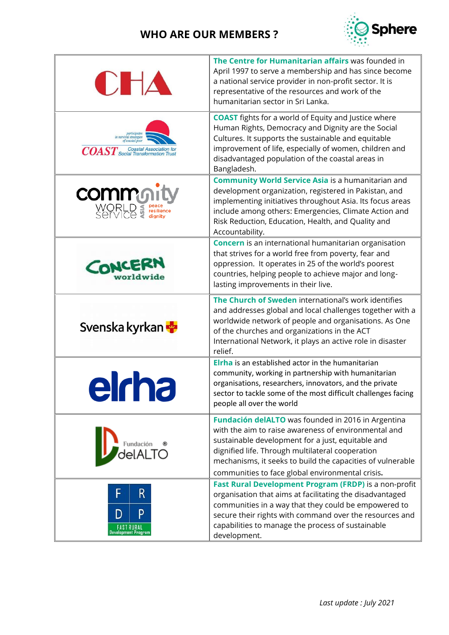

| C H A                                           | The Centre for Humanitarian affairs was founded in<br>April 1997 to serve a membership and has since become<br>a national service provider in non-profit sector. It is<br>representative of the resources and work of the<br>humanitarian sector in Sri Lanka.                                                                        |
|-------------------------------------------------|---------------------------------------------------------------------------------------------------------------------------------------------------------------------------------------------------------------------------------------------------------------------------------------------------------------------------------------|
| $\mathit{COAST}$ Social Transformation Trust    | <b>COAST</b> fights for a world of Equity and Justice where<br>Human Rights, Democracy and Dignity are the Social<br>Cultures. It supports the sustainable and equitable<br>improvement of life, especially of women, children and<br>disadvantaged population of the coastal areas in<br>Bangladesh.                                 |
| <b>commo</b><br>Service                         | <b>Community World Service Asia is a humanitarian and</b><br>development organization, registered in Pakistan, and<br>implementing initiatives throughout Asia. Its focus areas<br>include among others: Emergencies, Climate Action and<br>Risk Reduction, Education, Health, and Quality and<br>Accountability.                     |
| CONCERN<br>worldwide                            | <b>Concern</b> is an international humanitarian organisation<br>that strives for a world free from poverty, fear and<br>oppression. It operates in 25 of the world's poorest<br>countries, helping people to achieve major and long-<br>lasting improvements in their live.                                                           |
| Svenska kyrkan                                  | The Church of Sweden international's work identifies<br>and addresses global and local challenges together with a<br>worldwide network of people and organisations. As One<br>of the churches and organizations in the ACT<br>International Network, it plays an active role in disaster<br>relief.                                   |
|                                                 | Elrha is an established actor in the humanitarian<br>community, working in partnership with humanitarian<br>organisations, researchers, innovators, and the private<br>sector to tackle some of the most difficult challenges facing<br>people all over the world                                                                     |
| Fundación<br>$A$ TO                             | Fundación delALTO was founded in 2016 in Argentina<br>with the aim to raise awareness of environmental and<br>sustainable development for a just, equitable and<br>dignified life. Through multilateral cooperation<br>mechanisms, it seeks to build the capacities of vulnerable<br>communities to face global environmental crisis. |
| R<br>p<br>D<br>FAST RURAL<br>evelopment Program | Fast Rural Development Program (FRDP) is a non-profit<br>organisation that aims at facilitating the disadvantaged<br>communities in a way that they could be empowered to<br>secure their rights with command over the resources and<br>capabilities to manage the process of sustainable<br>development.                             |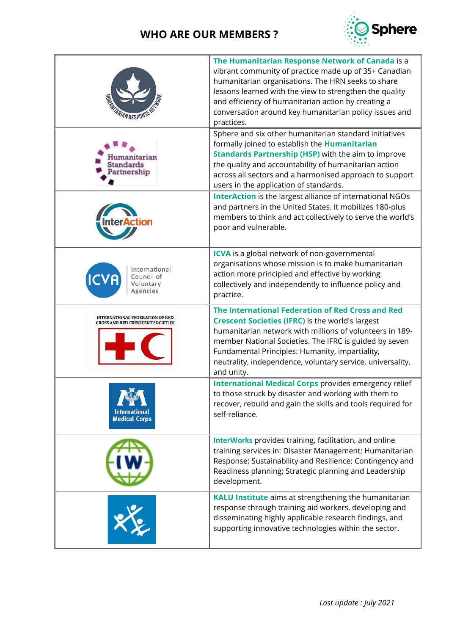

|                                                                                    | The Humanitarian Response Network of Canada is a<br>vibrant community of practice made up of 35+ Canadian<br>humanitarian organisations. The HRN seeks to share<br>lessons learned with the view to strengthen the quality<br>and efficiency of humanitarian action by creating a<br>conversation around key humanitarian policy issues and<br>practices.         |
|------------------------------------------------------------------------------------|-------------------------------------------------------------------------------------------------------------------------------------------------------------------------------------------------------------------------------------------------------------------------------------------------------------------------------------------------------------------|
| arian<br>tandards<br>artnership                                                    | Sphere and six other humanitarian standard initiatives<br>formally joined to establish the Humanitarian<br><b>Standards Partnership (HSP)</b> with the aim to improve<br>the quality and accountability of humanitarian action<br>across all sectors and a harmonised approach to support<br>users in the application of standards.                               |
|                                                                                    | <b>InterAction</b> is the largest alliance of international NGOs<br>and partners in the United States. It mobilizes 180-plus<br>members to think and act collectively to serve the world's<br>poor and vulnerable.                                                                                                                                                |
| nternational<br>Council of<br>Voluntary<br>Agencies                                | <b>ICVA</b> is a global network of non-governmental<br>organisations whose mission is to make humanitarian<br>action more principled and effective by working<br>collectively and independently to influence policy and<br>practice.                                                                                                                              |
| <b>INTERNATIONAL FEDERATION OF RED</b><br><b>CROSS AND RED CRESECENT SOCIETIES</b> | The International Federation of Red Cross and Red<br><b>Crescent Societies (IFRC) is the world's largest</b><br>humanitarian network with millions of volunteers in 189-<br>member National Societies. The IFRC is guided by seven<br>Fundamental Principles: Humanity, impartiality,<br>neutrality, independence, voluntary service, universality,<br>and unity. |
| $\mathbf{w}$ .<br><b>International</b><br><b>Medical Corps</b>                     | <b>International Medical Corps provides emergency relief</b><br>to those struck by disaster and working with them to<br>recover, rebuild and gain the skills and tools required for<br>self-reliance.                                                                                                                                                             |
|                                                                                    | InterWorks provides training, facilitation, and online<br>training services in: Disaster Management; Humanitarian<br>Response; Sustainability and Resilience; Contingency and<br>Readiness planning; Strategic planning and Leadership<br>development.                                                                                                            |
|                                                                                    | <b>KALU Institute</b> aims at strengthening the humanitarian<br>response through training aid workers, developing and<br>disseminating highly applicable research findings, and<br>supporting innovative technologies within the sector.                                                                                                                          |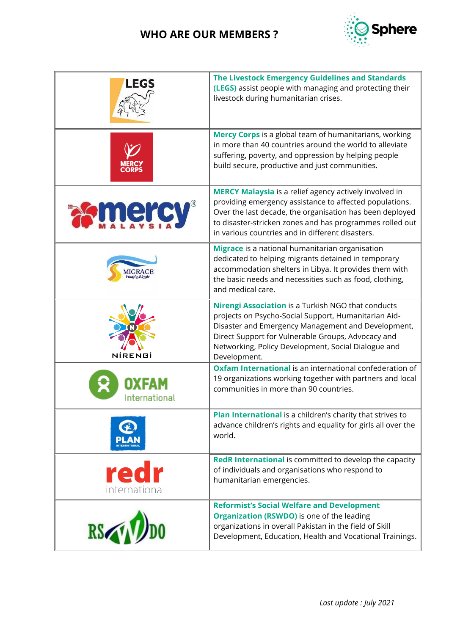

| <b>LEGS</b>           | <b>The Livestock Emergency Guidelines and Standards</b><br>(LEGS) assist people with managing and protecting their<br>livestock during humanitarian crises.                                                                                                                                          |
|-----------------------|------------------------------------------------------------------------------------------------------------------------------------------------------------------------------------------------------------------------------------------------------------------------------------------------------|
|                       | Mercy Corps is a global team of humanitarians, working<br>in more than 40 countries around the world to alleviate<br>suffering, poverty, and oppression by helping people<br>build secure, productive and just communities.                                                                          |
| mer                   | <b>MERCY Malaysia</b> is a relief agency actively involved in<br>providing emergency assistance to affected populations.<br>Over the last decade, the organisation has been deployed<br>to disaster-stricken zones and has programmes rolled out<br>in various countries and in different disasters. |
|                       | Migrace is a national humanitarian organisation<br>dedicated to helping migrants detained in temporary<br>accommodation shelters in Libya. It provides them with<br>the basic needs and necessities such as food, clothing,<br>and medical care.                                                     |
| NIRENGI               | Nirengi Association is a Turkish NGO that conducts<br>projects on Psycho-Social Support, Humanitarian Aid-<br>Disaster and Emergency Management and Development,<br>Direct Support for Vulnerable Groups, Advocacy and<br>Networking, Policy Development, Social Dialogue and<br>Development.        |
| International         | Oxfam International is an international confederation of<br>19 organizations working together with partners and local<br>communities in more than 90 countries.                                                                                                                                      |
|                       | Plan International is a children's charity that strives to<br>advance children's rights and equality for girls all over the<br>world.                                                                                                                                                                |
| redr<br>international | <b>RedR International</b> is committed to develop the capacity<br>of individuals and organisations who respond to<br>humanitarian emergencies.                                                                                                                                                       |
| RS                    | <b>Reformist's Social Welfare and Development</b><br><b>Organization (RSWDO)</b> is one of the leading<br>organizations in overall Pakistan in the field of Skill<br>Development, Education, Health and Vocational Trainings.                                                                        |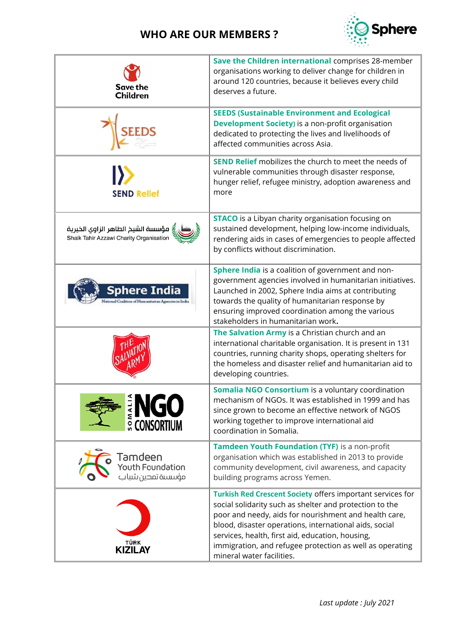

| Save the<br><b>Children</b>                                                    | Save the Children international comprises 28-member<br>organisations working to deliver change for children in<br>around 120 countries, because it believes every child<br>deserves a future.                                                                                                                                                                                         |
|--------------------------------------------------------------------------------|---------------------------------------------------------------------------------------------------------------------------------------------------------------------------------------------------------------------------------------------------------------------------------------------------------------------------------------------------------------------------------------|
| <b>EEDS</b>                                                                    | <b>SEEDS (Sustainable Environment and Ecological</b><br><b>Development Society)</b> is a non-profit organisation<br>dedicated to protecting the lives and livelihoods of<br>affected communities across Asia.                                                                                                                                                                         |
| <b>SEND Relief</b>                                                             | <b>SEND Relief</b> mobilizes the church to meet the needs of<br>vulnerable communities through disaster response,<br>hunger relief, refugee ministry, adoption awareness and<br>more                                                                                                                                                                                                  |
| ٍ مؤسسة الشيخ الطاهر الزاوى الخيرية<br>Shaik Tahir Azzawi Charity Organisation | <b>STACO</b> is a Libyan charity organisation focusing on<br>sustained development, helping low-income individuals,<br>rendering aids in cases of emergencies to people affected<br>by conflicts without discrimination.                                                                                                                                                              |
| phere Indi                                                                     | Sphere India is a coalition of government and non-<br>government agencies involved in humanitarian initiatives.<br>Launched in 2002, Sphere India aims at contributing<br>towards the quality of humanitarian response by<br>ensuring improved coordination among the various<br>stakeholders in humanitarian work.                                                                   |
|                                                                                | The Salvation Army is a Christian church and an<br>international charitable organisation. It is present in 131<br>countries, running charity shops, operating shelters for<br>the homeless and disaster relief and humanitarian aid to<br>developing countries.                                                                                                                       |
| <b>CONSORTIUM</b>                                                              | Somalia NGO Consortium is a voluntary coordination<br>mechanism of NGOs. It was established in 1999 and has<br>since grown to become an effective network of NGOS<br>working together to improve international aid<br>coordination in Somalia.                                                                                                                                        |
| Tamdeen<br>Youth Foundation<br>مؤسسة تمحين شباب                                | Tamdeen Youth Foundation (TYF) is a non-profit<br>organisation which was established in 2013 to provide<br>community development, civil awareness, and capacity<br>building programs across Yemen.                                                                                                                                                                                    |
| TÜRK<br>KIZILAY                                                                | Turkish Red Crescent Society offers important services for<br>social solidarity such as shelter and protection to the<br>poor and needy, aids for nourishment and health care,<br>blood, disaster operations, international aids, social<br>services, health, first aid, education, housing,<br>immigration, and refugee protection as well as operating<br>mineral water facilities. |